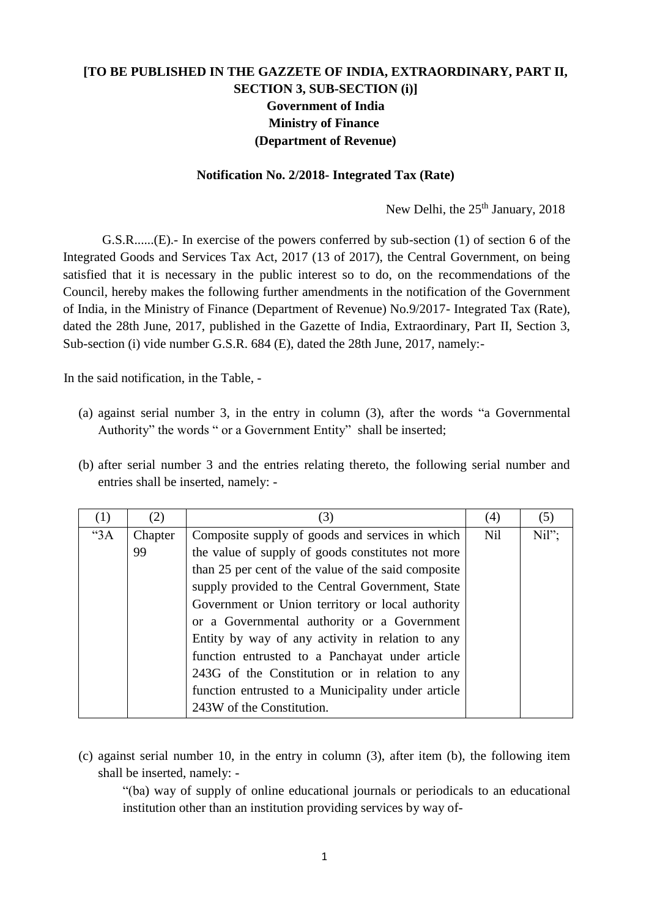## **[TO BE PUBLISHED IN THE GAZZETE OF INDIA, EXTRAORDINARY, PART II, SECTION 3, SUB-SECTION (i)] Government of India Ministry of Finance (Department of Revenue)**

## **Notification No. 2/2018- Integrated Tax (Rate)**

New Delhi, the 25<sup>th</sup> January, 2018

G.S.R......(E).- In exercise of the powers conferred by sub-section (1) of section 6 of the Integrated Goods and Services Tax Act, 2017 (13 of 2017), the Central Government, on being satisfied that it is necessary in the public interest so to do, on the recommendations of the Council, hereby makes the following further amendments in the notification of the Government of India, in the Ministry of Finance (Department of Revenue) No.9/2017- Integrated Tax (Rate), dated the 28th June, 2017, published in the Gazette of India, Extraordinary, Part II, Section 3, Sub-section (i) vide number G.S.R. 684 (E), dated the 28th June, 2017, namely:-

In the said notification, in the Table, -

- (a) against serial number 3, in the entry in column (3), after the words "a Governmental Authority" the words " or a Government Entity" shall be inserted;
- (b) after serial number 3 and the entries relating thereto, the following serial number and entries shall be inserted, namely: -

| (1) | (2)     | (3)                                                 | (4)        | (5)   |
|-----|---------|-----------------------------------------------------|------------|-------|
| "3A | Chapter | Composite supply of goods and services in which     | <b>Nil</b> | Nil"; |
|     | 99      | the value of supply of goods constitutes not more   |            |       |
|     |         | than 25 per cent of the value of the said composite |            |       |
|     |         | supply provided to the Central Government, State    |            |       |
|     |         | Government or Union territory or local authority    |            |       |
|     |         | or a Governmental authority or a Government         |            |       |
|     |         | Entity by way of any activity in relation to any    |            |       |
|     |         | function entrusted to a Panchayat under article     |            |       |
|     |         | 243G of the Constitution or in relation to any      |            |       |
|     |         | function entrusted to a Municipality under article  |            |       |
|     |         | 243W of the Constitution.                           |            |       |

(c) against serial number 10, in the entry in column (3), after item (b), the following item shall be inserted, namely: -

"(ba) way of supply of online educational journals or periodicals to an educational institution other than an institution providing services by way of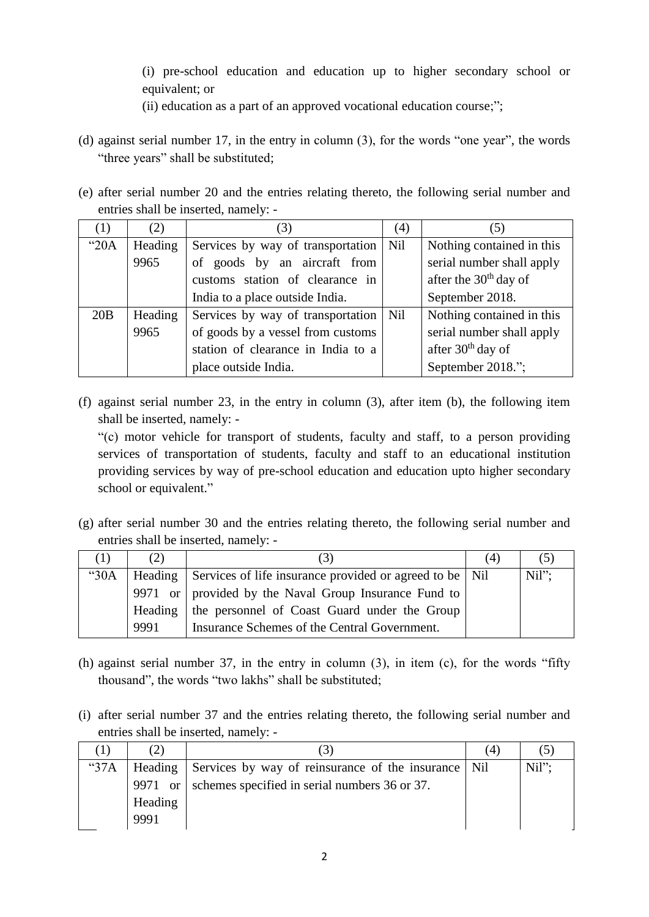(i) pre-school education and education up to higher secondary school or equivalent; or

(ii) education as a part of an approved vocational education course;";

(d) against serial number 17, in the entry in column (3), for the words "one year", the words "three years" shall be substituted;

(e) after serial number 20 and the entries relating thereto, the following serial number and entries shall be inserted, namely: -

| (1)  | (2)     | [3]                                     | (4) | (5)                           |
|------|---------|-----------------------------------------|-----|-------------------------------|
| "20A | Heading | Services by way of transportation   Nil |     | Nothing contained in this     |
|      | 9965    | of goods by an aircraft from            |     | serial number shall apply     |
|      |         | customs station of clearance in         |     | after the $30th$ day of       |
|      |         | India to a place outside India.         |     | September 2018.               |
| 20B  | Heading | Services by way of transportation       | Nil | Nothing contained in this     |
|      | 9965    | of goods by a vessel from customs       |     | serial number shall apply     |
|      |         | station of clearance in India to a      |     | after 30 <sup>th</sup> day of |
|      |         | place outside India.                    |     | September 2018.";             |

(f) against serial number 23, in the entry in column (3), after item (b), the following item shall be inserted, namely: -

"(c) motor vehicle for transport of students, faculty and staff, to a person providing services of transportation of students, faculty and staff to an educational institution providing services by way of pre-school education and education upto higher secondary school or equivalent."

(g) after serial number 30 and the entries relating thereto, the following serial number and entries shall be inserted, namely: -

| (1)  | (2)  |                                                                     | (4) |      |
|------|------|---------------------------------------------------------------------|-----|------|
| "30A |      | Heading   Services of life insurance provided or agreed to be   Nil |     | Nil" |
|      |      | 9971 or   provided by the Naval Group Insurance Fund to             |     |      |
|      |      | Heading   the personnel of Coast Guard under the Group              |     |      |
|      | 9991 | Insurance Schemes of the Central Government.                        |     |      |

- (h) against serial number 37, in the entry in column (3), in item (c), for the words "fifty thousand", the words "two lakhs" shall be substituted;
- (i) after serial number 37 and the entries relating thereto, the following serial number and entries shall be inserted, namely: -

|      |                                                                 |                                               | 14 |          |
|------|-----------------------------------------------------------------|-----------------------------------------------|----|----------|
| "37A | Heading   Services by way of reinsurance of the insurance   Nil |                                               |    | $Nil"$ : |
|      | 9971 or                                                         | schemes specified in serial numbers 36 or 37. |    |          |
|      | Heading                                                         |                                               |    |          |
|      | 9991                                                            |                                               |    |          |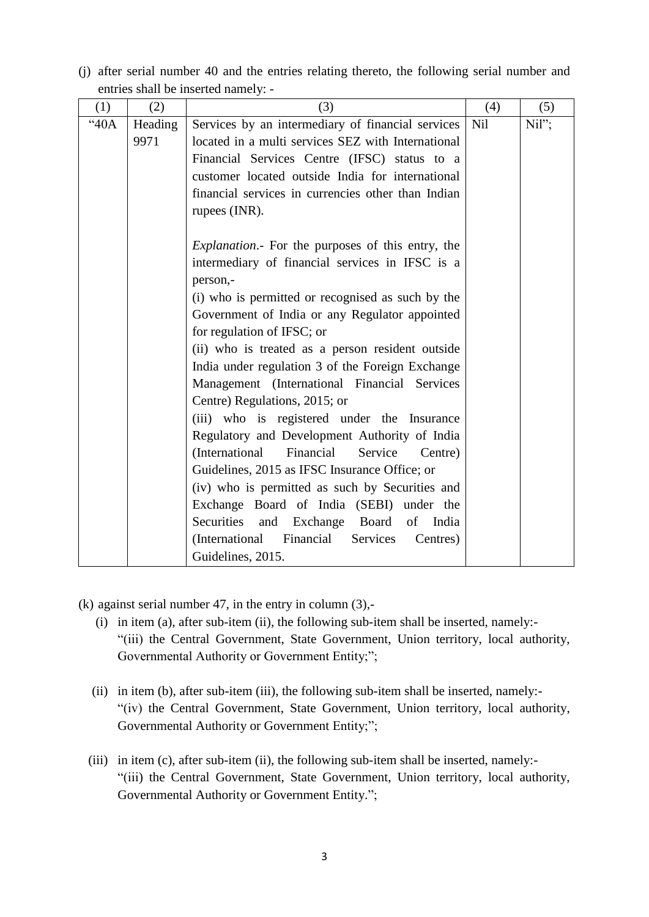| (j) after serial number 40 and the entries relating thereto, the following serial number and |  |  |  |  |  |
|----------------------------------------------------------------------------------------------|--|--|--|--|--|
| entries shall be inserted namely: -                                                          |  |  |  |  |  |

| (1) | (2)     | (3)                                                      | (4) | (5)   |
|-----|---------|----------------------------------------------------------|-----|-------|
| 40A | Heading | Services by an intermediary of financial services        | Nil | Nil"; |
|     | 9971    | located in a multi services SEZ with International       |     |       |
|     |         | Financial Services Centre (IFSC) status to a             |     |       |
|     |         | customer located outside India for international         |     |       |
|     |         | financial services in currencies other than Indian       |     |       |
|     |         | rupees $(INR)$ .                                         |     |       |
|     |         |                                                          |     |       |
|     |         | <i>Explanation</i> . For the purposes of this entry, the |     |       |
|     |         | intermediary of financial services in IFSC is a          |     |       |
|     |         | person,-                                                 |     |       |
|     |         | (i) who is permitted or recognised as such by the        |     |       |
|     |         | Government of India or any Regulator appointed           |     |       |
|     |         | for regulation of IFSC; or                               |     |       |
|     |         | (ii) who is treated as a person resident outside         |     |       |
|     |         | India under regulation 3 of the Foreign Exchange         |     |       |
|     |         | Management (International Financial Services             |     |       |
|     |         | Centre) Regulations, 2015; or                            |     |       |
|     |         | (iii) who is registered under the Insurance              |     |       |
|     |         | Regulatory and Development Authority of India            |     |       |
|     |         | Financial<br>(International<br>Service<br>Centre)        |     |       |
|     |         | Guidelines, 2015 as IFSC Insurance Office; or            |     |       |
|     |         | (iv) who is permitted as such by Securities and          |     |       |
|     |         | Exchange Board of India (SEBI) under the                 |     |       |
|     |         | Securities and Exchange Board<br>of<br>India             |     |       |
|     |         | (International<br>Financial<br>Services<br>Centres)      |     |       |
|     |         | Guidelines, 2015.                                        |     |       |

- (k) against serial number 47, in the entry in column (3),-
	- (i) in item (a), after sub-item (ii), the following sub-item shall be inserted, namely:- "(iii) the Central Government, State Government, Union territory, local authority, Governmental Authority or Government Entity;";
	- (ii) in item (b), after sub-item (iii), the following sub-item shall be inserted, namely:- "(iv) the Central Government, State Government, Union territory, local authority, Governmental Authority or Government Entity;";
	- (iii) in item (c), after sub-item (ii), the following sub-item shall be inserted, namely:- "(iii) the Central Government, State Government, Union territory, local authority, Governmental Authority or Government Entity.";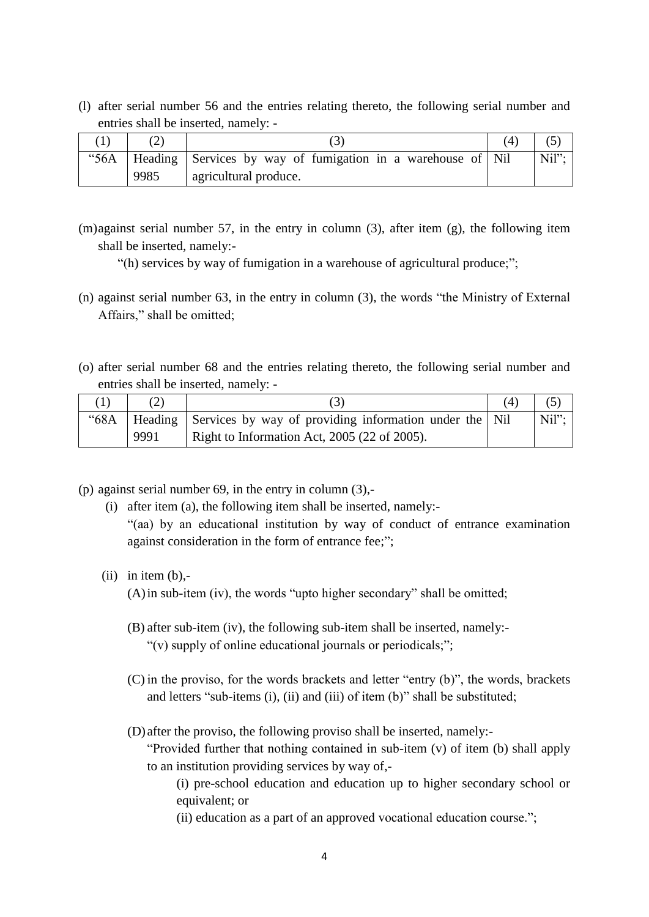(l) after serial number 56 and the entries relating thereto, the following serial number and entries shall be inserted, namely: -

|             |      |                                                             | $\left( 4\right)$ |       |
|-------------|------|-------------------------------------------------------------|-------------------|-------|
| $\cdot$ 56A |      | Heading Services by way of fumigation in a warehouse of Nil |                   | Nil"; |
|             | 9985 | agricultural produce.                                       |                   |       |

(m)against serial number 57, in the entry in column (3), after item (g), the following item shall be inserted, namely:-

"(h) services by way of fumigation in a warehouse of agricultural produce;";

- (n) against serial number 63, in the entry in column (3), the words "the Ministry of External Affairs," shall be omitted;
- (o) after serial number 68 and the entries relating thereto, the following serial number and entries shall be inserted, namely: -

|      |                                                                           | (4) |      |
|------|---------------------------------------------------------------------------|-----|------|
|      | "68A   Heading   Services by way of providing information under the   Nil |     | Nil" |
| 9991 | Right to Information Act, 2005 (22 of 2005).                              |     |      |

(p) against serial number 69, in the entry in column (3),-

- (i) after item (a), the following item shall be inserted, namely:- "(aa) by an educational institution by way of conduct of entrance examination against consideration in the form of entrance fee;";
- $(ii)$  in item  $(b)$ ,-

(A)in sub-item (iv), the words "upto higher secondary" shall be omitted;

- (B) after sub-item (iv), the following sub-item shall be inserted, namely:- "(v) supply of online educational journals or periodicals;";
- (C) in the proviso, for the words brackets and letter "entry (b)", the words, brackets and letters "sub-items (i), (ii) and (iii) of item (b)" shall be substituted;
- (D) after the proviso, the following proviso shall be inserted, namely:-

"Provided further that nothing contained in sub-item (v) of item (b) shall apply to an institution providing services by way of,-

(i) pre-school education and education up to higher secondary school or equivalent; or

(ii) education as a part of an approved vocational education course.";